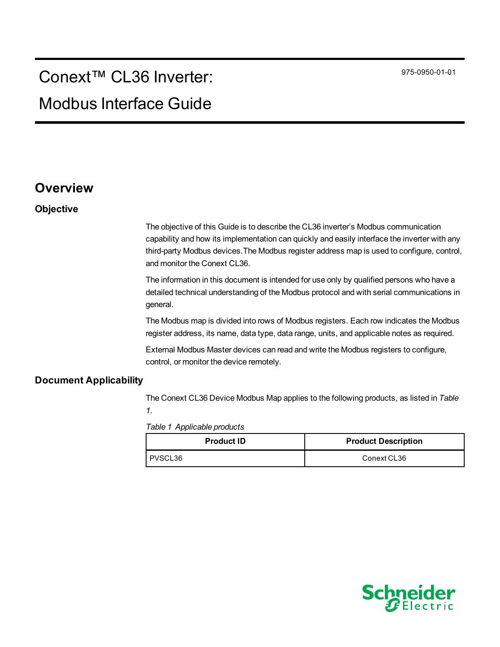# Conext™ CL36 Inverter:

# Modbus Interface Guide

### **Overview**

#### **Objective**

The objective of this Guide is to describe the CL36 inverter's Modbus communication capability and how its implementation can quickly and easily interface the inverter with any third-party Modbus devices.The Modbus register address map is used to configure, control, and monitor the Conext CL36.

The information in this document is intended for use only by qualified persons who have a detailed technical understanding of the Modbus protocol and with serial communications in general.

The Modbus map is divided into rows of Modbus registers. Each row indicates the Modbus register address, its name, data type, data range, units, and applicable notes as required.

External Modbus Master devices can read and write the Modbus registers to configure, control, or monitor the device remotely.

#### **Document Applicability**

The Conext CL36 Device Modbus Map applies to the following products, as listed in *[Table](#page-0-0) [1](#page-0-0)*.

<span id="page-0-0"></span>*Table 1 Applicable products*

| <b>Product ID</b> | <b>Product Description</b> |
|-------------------|----------------------------|
| I PVSCL36         | Conext CL36                |

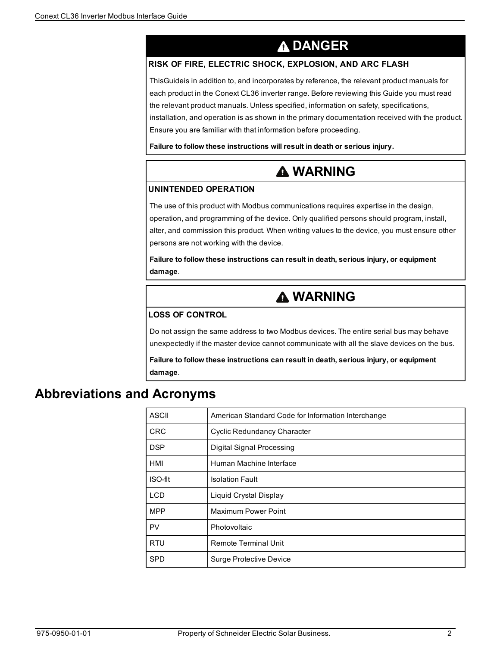# **DANGER**

#### <span id="page-1-0"></span>**RISK OF FIRE, ELECTRIC SHOCK, EXPLOSION, AND ARC FLASH**

ThisGuideis in addition to, and incorporates by reference, the relevant product manuals for each product in the Conext CL36 inverter range. Before reviewing this Guide you must read the relevant product manuals. Unless specified, information on safety, specifications, installation, and operation is as shown in the primary documentation received with the product. Ensure you are familiar with that information before proceeding.

**Failure to follow these instructions will result in death or serious injury.**

# **WARNING**

#### **UNINTENDED OPERATION**

The use of this product with Modbus communications requires expertise in the design, operation, and programming of the device. Only qualified persons should program, install, alter, and commission this product. When writing values to the device, you must ensure other persons are not working with the device.

**Failure to follow these instructions can result in death, serious injury, or equipment damage**.

# **WARNING**

#### **LOSS OF CONTROL**

Do not assign the same address to two Modbus devices. The entire serial bus may behave unexpectedly if the master device cannot communicate with all the slave devices on the bus.

**Failure to follow these instructions can result in death, serious injury, or equipment damage**.

### **Abbreviations and Acronyms**

| <b>ASCII</b> | American Standard Code for Information Interchange |
|--------------|----------------------------------------------------|
| <b>CRC</b>   | Cyclic Redundancy Character                        |
| <b>DSP</b>   | Digital Signal Processing                          |
| HMI          | Human Machine Interface                            |
| ISO-fit      | <b>Isolation Fault</b>                             |
| <b>LCD</b>   | Liquid Crystal Display                             |
| <b>MPP</b>   | <b>Maximum Power Point</b>                         |
| PV           | Photovoltaic                                       |
| <b>RTU</b>   | <b>Remote Terminal Unit</b>                        |
| <b>SPD</b>   | Surge Protective Device                            |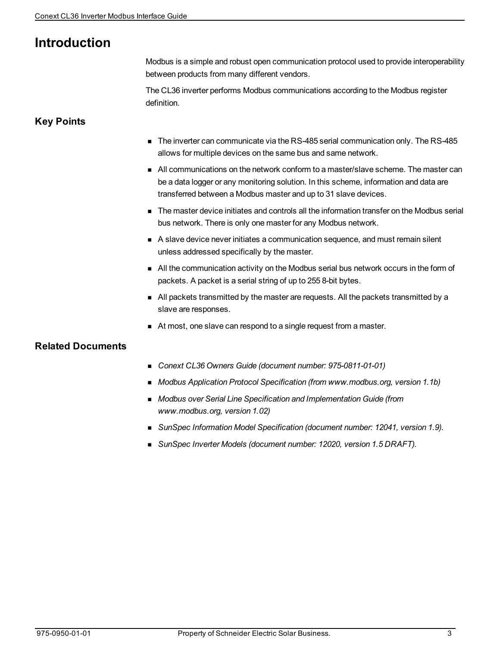### **Introduction**

Modbus is a simple and robust open communication protocol used to provide interoperability between products from many different vendors.

The CL36 inverter performs Modbus communications according to the Modbus register definition.

#### **Key Points**

- The inverter can communicate via the RS-485 serial communication only. The RS-485 allows for multiple devices on the same bus and same network.
- n All communications on the network conform to a master/slave scheme. The master can be a data logger or any monitoring solution. In this scheme, information and data are transferred between a Modbus master and up to 31 slave devices.
- n The master device initiates and controls all the information transfer on the Modbus serial bus network. There is only one master for any Modbus network.
- A slave device never initiates a communication sequence, and must remain silent unless addressed specifically by the master.
- n All the communication activity on the Modbus serial bus network occurs in the form of packets. A packet is a serial string of up to 255 8-bit bytes.
- n All packets transmitted by the master are requests. All the packets transmitted by a slave are responses.
- At most, one slave can respond to a single request from a master.

### **Related Documents**

- <sup>n</sup> *Conext CL36 Owners Guide (document number: 975-0811-01-01)*
- <sup>n</sup> *Modbus Application Protocol Specification (from www.modbus.org, version 1.1b)*
- <sup>n</sup> *Modbus over Serial Line Specification and Implementation Guide (from www.modbus.org, version 1.02)*
- <sup>n</sup> *SunSpec Information Model Specification (document number: 12041, version 1.9).*
- <sup>n</sup> *SunSpec Inverter Models (document number: 12020, version 1.5 DRAFT).*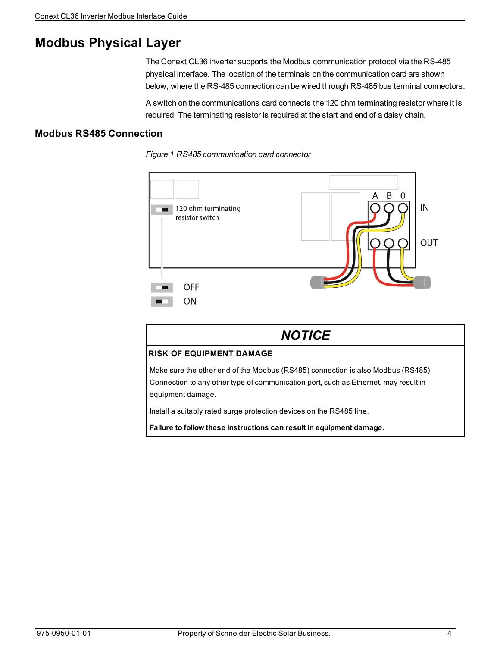### **Modbus Physical Layer**

The Conext CL36 inverter supports the Modbus communication protocol via the RS-485 physical interface. The location of the terminals on the communication card are shown below, where the RS-485 connection can be wired through RS-485 bus terminal connectors.

A switch on the communications card connects the 120 ohm terminating resistor where it is required. The terminating resistor is required at the start and end of a daisy chain.

#### **Modbus RS485 Connection**



*Figure 1 RS485 communication card connector*

| <b>NOTICE</b>                                                                                                                                                                                |  |
|----------------------------------------------------------------------------------------------------------------------------------------------------------------------------------------------|--|
| <b>RISK OF EQUIPMENT DAMAGE</b>                                                                                                                                                              |  |
| Make sure the other end of the Modbus (RS485) connection is also Modbus (RS485).<br>Connection to any other type of communication port, such as Ethernet, may result in<br>equipment damage. |  |
| Install a suitably rated surge protection devices on the RS485 line.                                                                                                                         |  |
| Failure to follow these instructions can result in equipment damage.                                                                                                                         |  |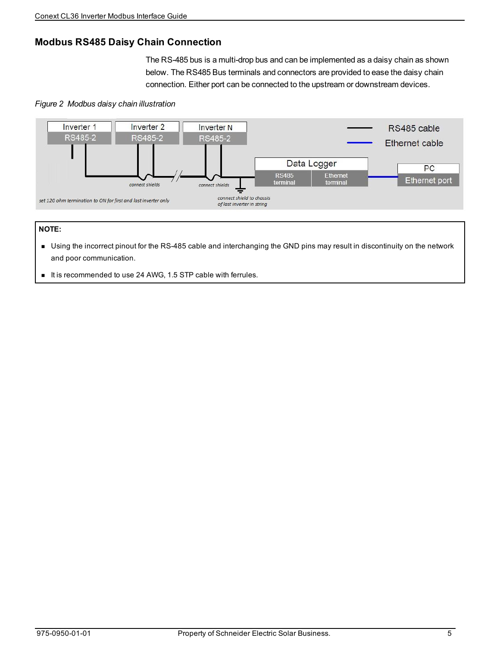### **Modbus RS485 Daisy Chain Connection**

The RS-485 bus is a multi-drop bus and can be implemented as a daisy chain as shown below. The RS485 Bus terminals and connectors are provided to ease the daisy chain connection. Either port can be connected to the upstream or downstream devices.

#### *Figure 2 Modbus daisy chain illustration*



#### **NOTE:**

- <sup>n</sup> Using the incorrect pinout for the RS-485 cable and interchanging the GND pins may result in discontinuity on the network and poor communication.
- It is recommended to use 24 AWG, 1.5 STP cable with ferrules.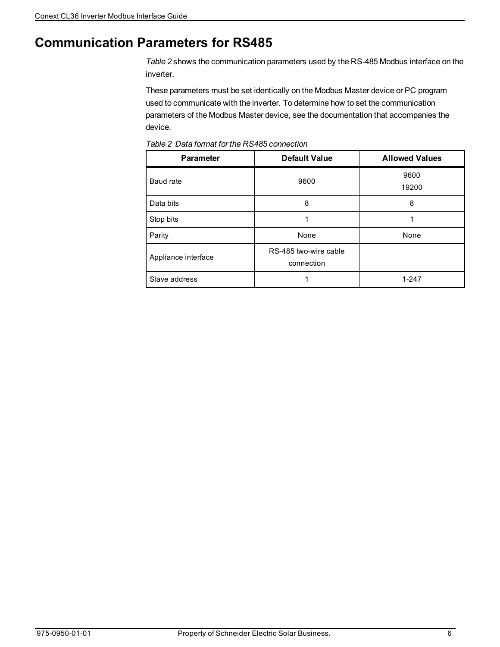# **Communication Parameters for RS485**

*[Table](#page-5-0) 2* shows the communication parameters used by the RS-485 Modbus interface on the inverter.

These parameters must be set identically on the Modbus Master device or PC program used to communicate with the inverter. To determine how to set the communication parameters of the Modbus Master device, see the documentation that accompanies the device.

| <b>Parameter</b>    | <b>Default Value</b>                | <b>Allowed Values</b> |
|---------------------|-------------------------------------|-----------------------|
| Baud rate           | 9600                                | 9600<br>19200         |
| Data bits           | 8                                   | 8                     |
| Stop bits           | 1                                   | 1                     |
| Parity              | None                                | None                  |
| Appliance interface | RS-485 two-wire cable<br>connection |                       |
| Slave address       |                                     | $1 - 247$             |

<span id="page-5-0"></span>*Table 2 Data format for the RS485 connection*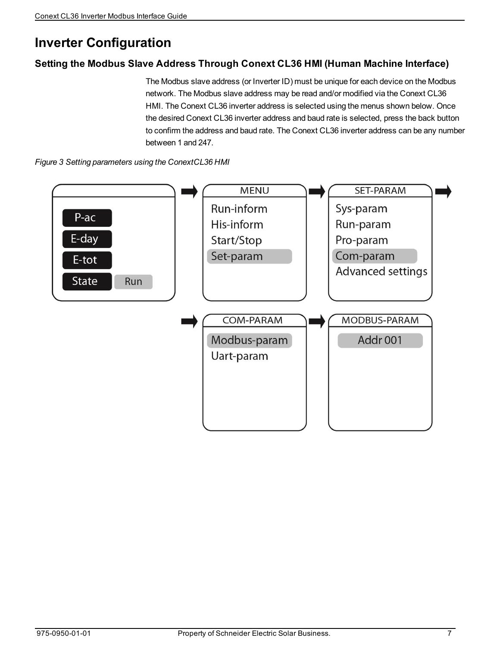# **Inverter Configuration**

### **Setting the Modbus Slave Address Through Conext CL36 HMI (Human Machine Interface)**

The Modbus slave address (or Inverter ID) must be unique for each device on the Modbus network. The Modbus slave address may be read and/or modified via the Conext CL36 HMI. The Conext CL36 inverter address is selected using the menus shown below. Once the desired Conext CL36 inverter address and baud rate is selected, press the back button to confirm the address and baud rate. The Conext CL36 inverter address can be any number between 1 and 247.



*Figure 3 Setting parameters using the ConextCL36 HMI*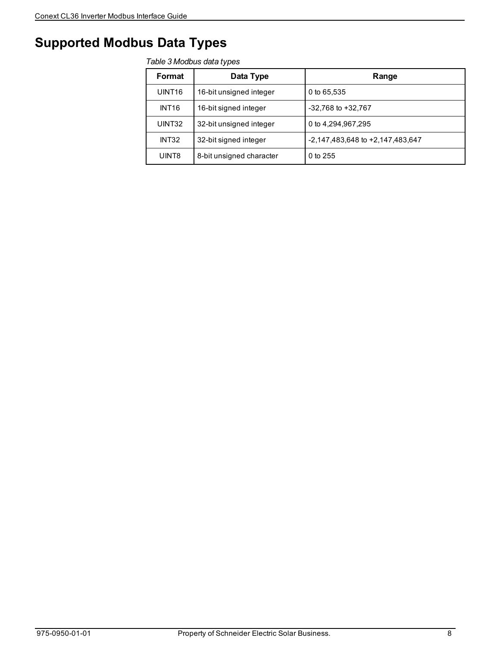## **Supported Modbus Data Types**

#### *Table 3 Modbus data types*

| Format             | Data Type                | Range                            |
|--------------------|--------------------------|----------------------------------|
| UINT <sub>16</sub> | 16-bit unsigned integer  | 0 to 65,535                      |
| INT <sub>16</sub>  | 16-bit signed integer    | $-32,768$ to $+32,767$           |
| UINT32             | 32-bit unsigned integer  | 0 to 4,294,967,295               |
| INT32              | 32-bit signed integer    | -2,147,483,648 to +2,147,483,647 |
| UINT8              | 8-bit unsigned character | $0$ to 255                       |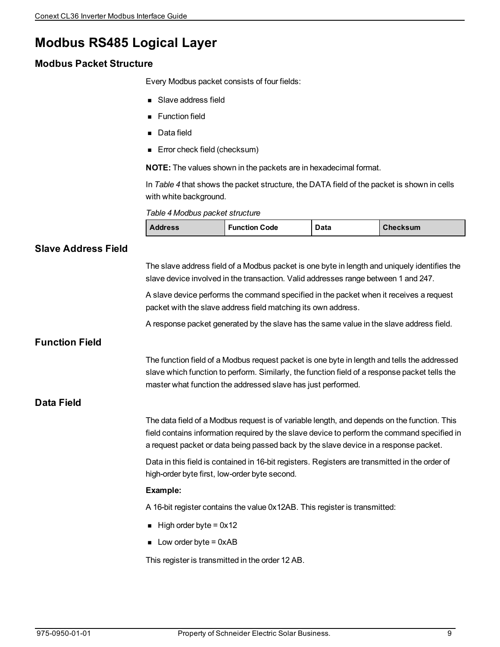# **Modbus RS485 Logical Layer**

### **Modbus Packet Structure**

Every Modbus packet consists of four fields:

- **B** Slave address field
- **Function field**
- Data field
- Error check field (checksum)

**NOTE:** The values shown in the packets are in hexadecimal format.

In *[Table](#page-8-0) 4* that shows the packet structure, the DATA field of the packet is shown in cells with white background.

<span id="page-8-0"></span>*Table 4 Modbus packet structure*

| <b>Address</b> | <b>Function Code</b> | Data | <b>Checksum</b> |
|----------------|----------------------|------|-----------------|
|----------------|----------------------|------|-----------------|

### **Slave Address Field** The slave address field of a Modbus packet is one byte in length and uniquely identifies the slave device involved in the transaction. Valid addresses range between 1 and 247. A slave device performs the command specified in the packet when it receives a request packet with the slave address field matching its own address. A response packet generated by the slave has the same value in the slave address field. **Function Field** The function field of a Modbus request packet is one byte in length and tells the addressed slave which function to perform. Similarly, the function field of a response packet tells the master what function the addressed slave has just performed. **Data Field** The data field of a Modbus request is of variable length, and depends on the function. This field contains information required by the slave device to perform the command specified in a request packet or data being passed back by the slave device in a response packet. Data in this field is contained in 16-bit registers. Registers are transmitted in the order of high-order byte first, low-order byte second. **Example:** A 16-bit register contains the value 0x12AB. This register is transmitted:  $\blacksquare$  High order byte = 0x12  $\blacksquare$  Low order byte = 0xAB This register is transmitted in the order 12 AB.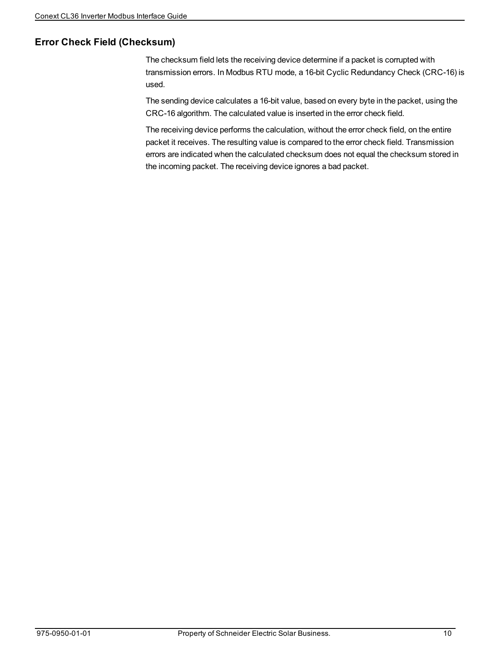### **Error Check Field (Checksum)**

The checksum field lets the receiving device determine if a packet is corrupted with transmission errors. In Modbus RTU mode, a 16-bit Cyclic Redundancy Check (CRC-16) is used.

The sending device calculates a 16-bit value, based on every byte in the packet, using the CRC-16 algorithm. The calculated value is inserted in the error check field.

The receiving device performs the calculation, without the error check field, on the entire packet it receives. The resulting value is compared to the error check field. Transmission errors are indicated when the calculated checksum does not equal the checksum stored in the incoming packet. The receiving device ignores a bad packet.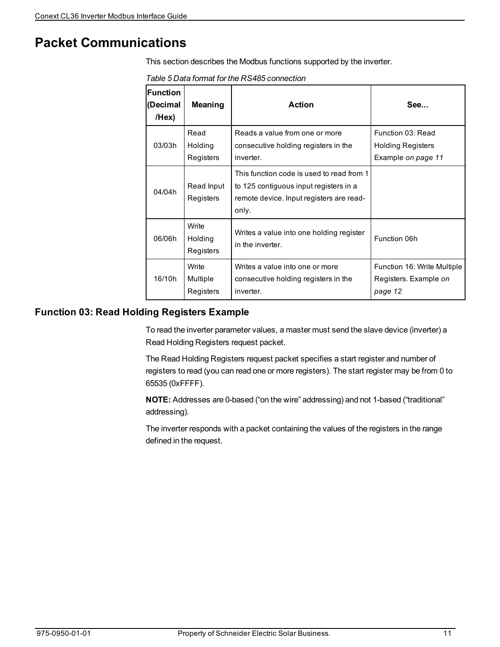### **Packet Communications**

<span id="page-10-1"></span>This section describes the Modbus functions supported by the inverter.

*Table 5 Data format for the RS485 connection*

| <b>Function</b><br>(Decimal<br>/Hex) | Meaning                        | Action                                                                                                                                   | See                                                                 |
|--------------------------------------|--------------------------------|------------------------------------------------------------------------------------------------------------------------------------------|---------------------------------------------------------------------|
| 03/03h                               | Read<br>Holding<br>Registers   | Reads a value from one or more<br>consecutive holding registers in the<br>inverter.                                                      | Function 03: Read<br><b>Holding Registers</b><br>Example on page 11 |
| 04/04h                               | Read Input<br>Registers        | This function code is used to read from 1<br>to 125 contiguous input registers in a<br>remote device. Input registers are read-<br>only. |                                                                     |
| 06/06h                               | Write<br>Holding<br>Registers  | Writes a value into one holding register<br>in the inverter.                                                                             | Function 06h                                                        |
| 16/10h                               | Write<br>Multiple<br>Registers | Writes a value into one or more<br>consecutive holding registers in the<br>inverter.                                                     | Function 16: Write Multiple<br>Registers. Example on<br>page 12     |

#### <span id="page-10-0"></span>**Function 03: Read Holding Registers Example**

To read the inverter parameter values, a master must send the slave device (inverter) a Read Holding Registers request packet.

The Read Holding Registers request packet specifies a start register and number of registers to read (you can read one or more registers). The start register may be from 0 to 65535 (0xFFFF).

**NOTE:** Addresses are 0-based ("on the wire" addressing) and not 1-based ("traditional" addressing).

The inverter responds with a packet containing the values of the registers in the range defined in the request.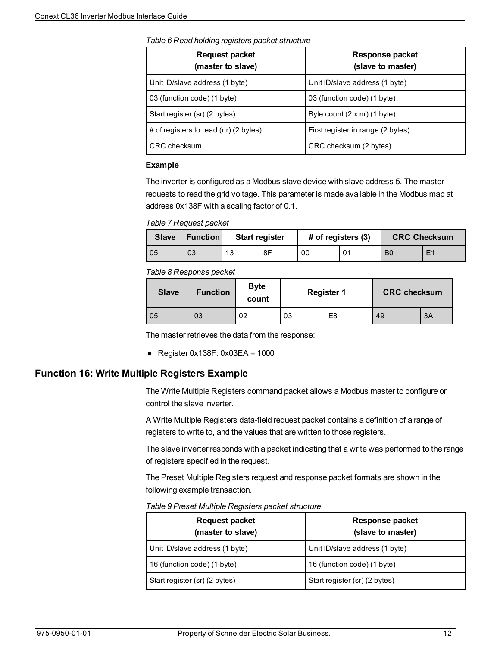*Table 6 Read holding registers packet structure*

| <b>Request packet</b><br>(master to slave) | <b>Response packet</b><br>(slave to master) |
|--------------------------------------------|---------------------------------------------|
| Unit ID/slave address (1 byte)             | Unit ID/slave address (1 byte)              |
| 03 (function code) (1 byte)                | 03 (function code) (1 byte)                 |
| Start register (sr) (2 bytes)              | Byte count $(2 \times nr)$ (1 byte)         |
| # of registers to read (nr) (2 bytes)      | First register in range (2 bytes)           |
| <b>CRC</b> checksum                        | CRC checksum (2 bytes)                      |

#### **Example**

The inverter is configured as a Modbus slave device with slave address 5. The master requests to read the grid voltage. This parameter is made available in the Modbus map at address 0x138F with a scaling factor of 0.1.

*Table 7 Request packet*

| <b>Slave</b> | <b>Function</b> | <b>Start register</b> |    | # of registers (3) |    | <b>CRC Checksum</b> |    |
|--------------|-----------------|-----------------------|----|--------------------|----|---------------------|----|
| 05           | 03              | 13                    | 8F | 00                 | 01 | B <sub>0</sub>      | E1 |

#### *Table 8 Response packet*

| <b>Slave</b> | <b>Function</b> | <b>Byte</b><br>count | <b>Register 1</b> |    | <b>CRC</b> checksum |    |
|--------------|-----------------|----------------------|-------------------|----|---------------------|----|
| 05           | 03              | 02                   | 03                | E8 | 49                  | 3A |

The master retrieves the data from the response:

Register  $0x138F: 0x03EA = 1000$ 

### <span id="page-11-0"></span>**Function 16: Write Multiple Registers Example**

The Write Multiple Registers command packet allows a Modbus master to configure or control the slave inverter.

A Write Multiple Registers data-field request packet contains a definition of a range of registers to write to, and the values that are written to those registers.

The slave inverter responds with a packet indicating that a write was performed to the range of registers specified in the request.

The Preset Multiple Registers request and response packet formats are shown in the following example transaction.

*Table 9 Preset Multiple Registers packet structure*

| <b>Request packet</b><br>(master to slave) | Response packet<br>(slave to master) |
|--------------------------------------------|--------------------------------------|
| Unit ID/slave address (1 byte)             | Unit ID/slave address (1 byte)       |
| 16 (function code) (1 byte)                | 16 (function code) (1 byte)          |
| Start register (sr) (2 bytes)              | Start register (sr) (2 bytes)        |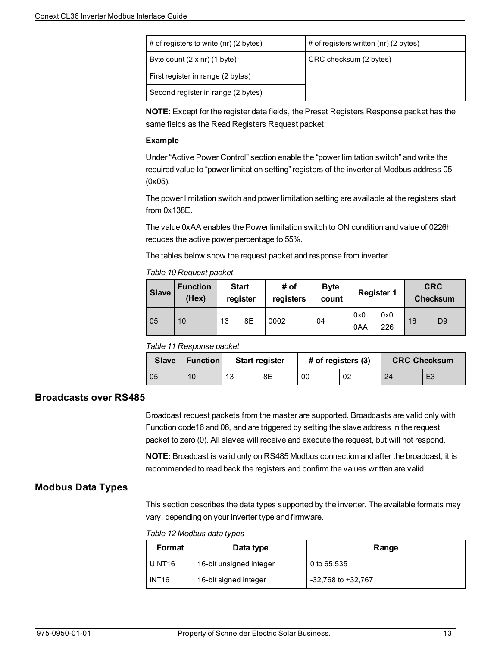| # of registers to write (nr) (2 bytes) | # of registers written (nr) (2 bytes) |
|----------------------------------------|---------------------------------------|
| Byte count $(2 \times nr)$ (1 byte)    | CRC checksum (2 bytes)                |
| First register in range (2 bytes)      |                                       |
| Second register in range (2 bytes)     |                                       |

**NOTE:** Except for the register data fields, the Preset Registers Response packet has the same fields as the Read Registers Request packet.

#### **Example**

Under "Active Power Control" section enable the "power limitation switch" and write the required value to "power limitation setting" registers of the inverter at Modbus address 05 (0x05).

The power limitation switch and power limitation setting are available at the registers start from 0x138E.

The value 0xAA enables the Power limitation switch to ON condition and value of 0226h reduces the active power percentage to 55%.

The tables below show the request packet and response from inverter.

#### *Table 10 Request packet*

| <b>Slave</b> | <b>Function</b><br>(Hex) | <b>Start</b> | register | # of<br>registers | <b>Byte</b><br>count | <b>Register 1</b> |            | <b>CRC</b> | <b>Checksum</b> |
|--------------|--------------------------|--------------|----------|-------------------|----------------------|-------------------|------------|------------|-----------------|
| 05           | 10                       | 13           | 8E       | 0002              | 04                   | 0x0<br>0AA        | 0x0<br>226 | 16         | D <sub>9</sub>  |

#### *Table 11 Response packet*

| <b>Slave</b> | Function | <b>Start register</b> |    | # of registers (3) |    | <b>CRC Checksum</b> |                |
|--------------|----------|-----------------------|----|--------------------|----|---------------------|----------------|
| 05           | 10       | 13                    | 8Ε | 00                 | 02 | 24                  | E <sub>3</sub> |

#### **Broadcasts over RS485**

Broadcast request packets from the master are supported. Broadcasts are valid only with Function code16 and 06, and are triggered by setting the slave address in the request packet to zero (0). All slaves will receive and execute the request, but will not respond.

**NOTE:** Broadcast is valid only on RS485 Modbus connection and after the broadcast, it is recommended to read back the registers and confirm the values written are valid.

#### **Modbus Data Types**

This section describes the data types supported by the inverter. The available formats may vary, depending on your inverter type and firmware.

*Table 12 Modbus data types*

| Format             | Data type               | Range                  |  |  |  |
|--------------------|-------------------------|------------------------|--|--|--|
| UINT <sub>16</sub> | 16-bit unsigned integer | 0 to 65,535            |  |  |  |
| INT <sub>16</sub>  | 16-bit signed integer   | $-32,768$ to $+32,767$ |  |  |  |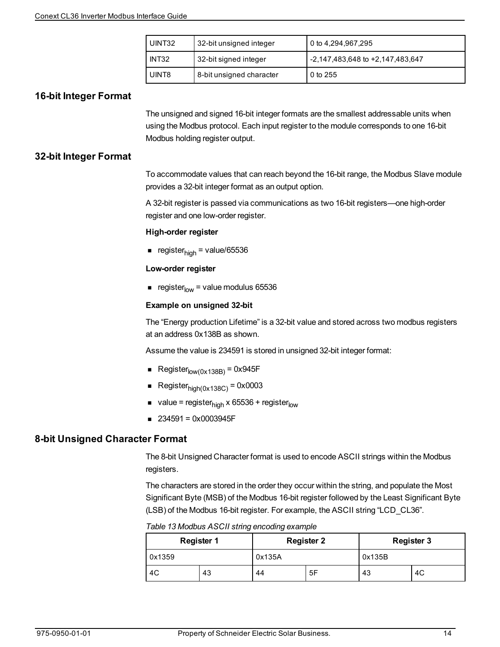| UINT32 | 32-bit unsigned integer  | l 0 to 4,294,967,295             |
|--------|--------------------------|----------------------------------|
| INT32  | 32-bit signed integer    | -2,147,483,648 to +2,147,483,647 |
| UINT8  | 8-bit unsigned character | l 0 to 255                       |

#### **16-bit Integer Format**

The unsigned and signed 16-bit integer formats are the smallest addressable units when using the Modbus protocol. Each input register to the module corresponds to one 16-bit Modbus holding register output.

#### **32-bit Integer Format**

To accommodate values that can reach beyond the 16-bit range, the Modbus Slave module provides a 32-bit integer format as an output option.

A 32-bit register is passed via communications as two 16-bit registers—one high-order register and one low-order register.

#### **High-order register**

■ register<sub>high</sub> = value/65536

#### **Low-order register**

e register $_{low}$  = value modulus 65536

#### **Example on unsigned 32-bit**

The "Energy production Lifetime" is a 32-bit value and stored across two modbus registers at an address 0x138B as shown.

Assume the value is 234591 is stored in unsigned 32-bit integer format:

- Register $_{\text{low}(0\times138\text{B})}$  = 0x945F
- Register $_{\text{hiah}(0\times138C)}$  = 0x0003
- value = register<sub>high</sub> x 65536 + register<sub>low</sub>
- $\blacksquare$  234591 = 0x0003945F

#### **8-bit Unsigned Character Format**

The 8-bit Unsigned Character format is used to encode ASCII strings within the Modbus registers.

The characters are stored in the order they occur within the string, and populate the Most Significant Byte (MSB) of the Modbus 16-bit register followed by the Least Significant Byte (LSB) of the Modbus 16-bit register. For example, the ASCII string "LCD\_CL36".

*Table 13 Modbus ASCII string encoding example*

|        | <b>Register 1</b> |        | <b>Register 2</b> | <b>Register 3</b> |    |  |
|--------|-------------------|--------|-------------------|-------------------|----|--|
| 0x1359 |                   | 0x135A |                   | 0x135B            |    |  |
| 4C     | 43                | 44     | 5F                | 43                | 4C |  |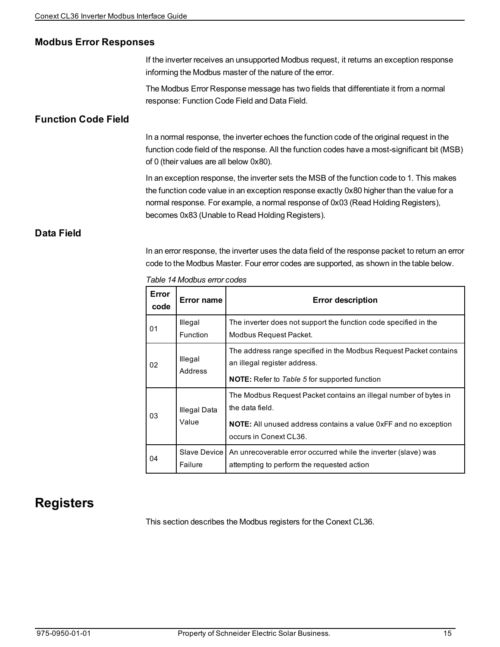#### **Modbus Error Responses**

If the inverter receives an unsupported Modbus request, it returns an exception response informing the Modbus master of the nature of the error.

The Modbus Error Response message has two fields that differentiate it from a normal response: Function Code Field and Data Field.

#### **Function Code Field**

In a normal response, the inverter echoes the function code of the original request in the function code field of the response. All the function codes have a most-significant bit (MSB) of 0 (their values are all below 0x80).

In an exception response, the inverter sets the MSB of the function code to 1. This makes the function code value in an exception response exactly 0x80 higher than the value for a normal response. For example, a normal response of 0x03 (Read Holding Registers), becomes 0x83 (Unable to Read Holding Registers).

#### **Data Field**

In an error response, the inverter uses the data field of the response packet to return an error code to the Modbus Master. Four error codes are supported, as shown in the table below.

| Error<br>code | Error name                 | <b>Error description</b>                                                                                                                                                                |
|---------------|----------------------------|-----------------------------------------------------------------------------------------------------------------------------------------------------------------------------------------|
| 01            | Illegal<br><b>Function</b> | The inverter does not support the function code specified in the<br>Modbus Request Packet.                                                                                              |
| 02            | Illegal<br>Address         | The address range specified in the Modbus Request Packet contains<br>an illegal register address.<br><b>NOTE:</b> Refer to Table 5 for supported function                               |
| 03            | Illegal Data<br>Value      | The Modbus Request Packet contains an illegal number of bytes in<br>the data field.<br><b>NOTE:</b> All unused address contains a value 0xFF and no exception<br>occurs in Conext CL36. |
| 04            | Slave Device<br>Failure    | An unrecoverable error occurred while the inverter (slave) was<br>attempting to perform the requested action                                                                            |

*Table 14 Modbus error codes*

### **Registers**

This section describes the Modbus registers for the Conext CL36.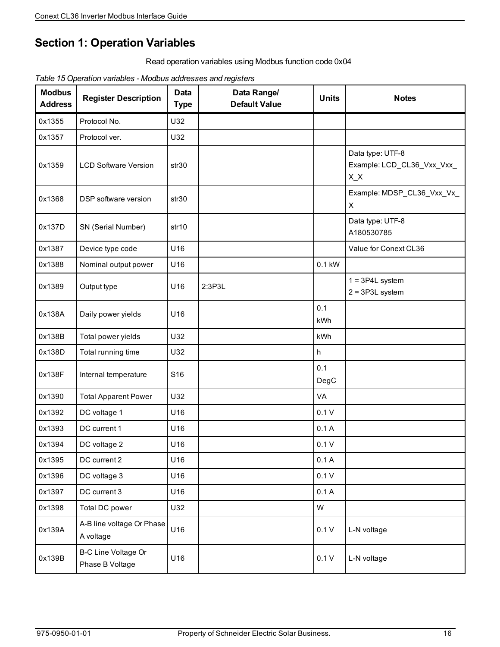### **Section 1: Operation Variables**

Read operation variables using Modbus function code 0x04

*Table 15 Operation variables - Modbus addresses and registers*

| <b>Modbus</b><br><b>Address</b> | <b>Register Description</b>                   | <b>Data</b><br><b>Type</b> | Data Range/<br><b>Default Value</b> | <b>Units</b> | <b>Notes</b>                                              |
|---------------------------------|-----------------------------------------------|----------------------------|-------------------------------------|--------------|-----------------------------------------------------------|
| 0x1355                          | Protocol No.                                  | U32                        |                                     |              |                                                           |
| 0x1357                          | Protocol ver.                                 | U32                        |                                     |              |                                                           |
| 0x1359                          | <b>LCD Software Version</b>                   | str <sub>30</sub>          |                                     |              | Data type: UTF-8<br>Example: LCD_CL36_Vxx_Vxx_<br>$X_{X}$ |
| 0x1368                          | DSP software version                          | str30                      |                                     |              | Example: MDSP_CL36_Vxx_Vx_<br>X                           |
| 0x137D                          | SN (Serial Number)                            | str <sub>10</sub>          |                                     |              | Data type: UTF-8<br>A180530785                            |
| 0x1387                          | Device type code                              | U16                        |                                     |              | Value for Conext CL36                                     |
| 0x1388                          | Nominal output power                          | U16                        |                                     | 0.1 kW       |                                                           |
| 0x1389                          | Output type                                   | U16                        | 2:3P3L                              |              | $1 = 3P4L$ system<br>$2 = 3P3L$ system                    |
| 0x138A                          | Daily power yields                            | U16                        |                                     | 0.1<br>kWh   |                                                           |
| 0x138B                          | Total power yields                            | U32                        |                                     | kWh          |                                                           |
| 0x138D                          | Total running time                            | U32                        |                                     | h            |                                                           |
| 0x138F                          | Internal temperature                          | S16                        |                                     | 0.1<br>DegC  |                                                           |
| 0x1390                          | <b>Total Apparent Power</b>                   | U32                        |                                     | VA           |                                                           |
| 0x1392                          | DC voltage 1                                  | U16                        |                                     | 0.1V         |                                                           |
| 0x1393                          | DC current 1                                  | U16                        |                                     | 0.1A         |                                                           |
| 0x1394                          | DC voltage 2                                  | U16                        |                                     | 0.1V         |                                                           |
| 0x1395                          | DC current 2                                  | U16                        |                                     | 0.1A         |                                                           |
| 0x1396                          | DC voltage 3                                  | U16                        |                                     | 0.1V         |                                                           |
| 0x1397                          | DC current 3                                  | U16                        |                                     | 0.1A         |                                                           |
| 0x1398                          | Total DC power                                | U32                        |                                     | W            |                                                           |
| 0x139A                          | A-B line voltage Or Phase<br>A voltage        | U16                        |                                     | 0.1V         | L-N voltage                                               |
| 0x139B                          | <b>B-C Line Voltage Or</b><br>Phase B Voltage | U16                        |                                     | 0.1V         | L-N voltage                                               |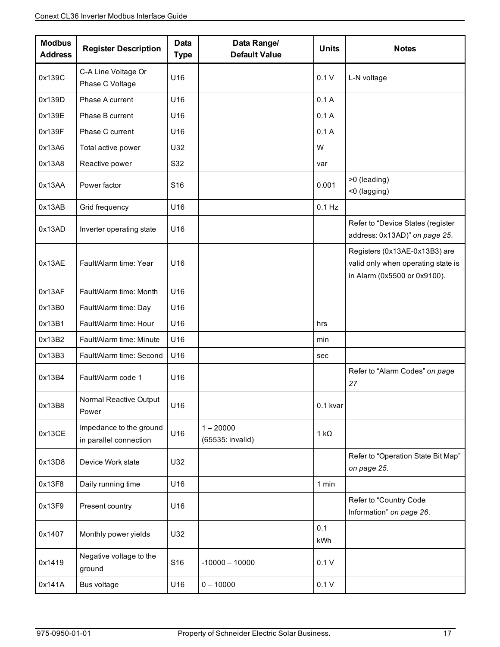| <b>Modbus</b><br><b>Address</b> | <b>Register Description</b>                       | <b>Data</b><br><b>Type</b> | Data Range/<br><b>Default Value</b> | <b>Units</b> | <b>Notes</b>                                                                                        |
|---------------------------------|---------------------------------------------------|----------------------------|-------------------------------------|--------------|-----------------------------------------------------------------------------------------------------|
| 0x139C                          | C-A Line Voltage Or<br>Phase C Voltage            | U16                        |                                     | 0.1V         | L-N voltage                                                                                         |
| 0x139D                          | Phase A current                                   | U16                        |                                     | 0.1A         |                                                                                                     |
| 0x139E                          | Phase B current                                   | U16                        |                                     | 0.1A         |                                                                                                     |
| 0x139F                          | Phase C current                                   | U16                        |                                     | 0.1A         |                                                                                                     |
| 0x13A6                          | Total active power                                | U32                        |                                     | W            |                                                                                                     |
| 0x13A8                          | Reactive power                                    | S32                        |                                     | var          |                                                                                                     |
| 0x13AA                          | Power factor                                      | S <sub>16</sub>            |                                     | 0.001        | >0 (leading)<br><0 (lagging)                                                                        |
| 0x13AB                          | Grid frequency                                    | U16                        |                                     | $0.1$ Hz     |                                                                                                     |
| 0x13AD                          | Inverter operating state                          | U16                        |                                     |              | Refer to "Device States (register<br>address: 0x13AD)" on page 25.                                  |
| 0x13AE                          | Fault/Alarm time: Year                            | U16                        |                                     |              | Registers (0x13AE-0x13B3) are<br>valid only when operating state is<br>in Alarm (0x5500 or 0x9100). |
| 0x13AF                          | Fault/Alarm time: Month                           | U16                        |                                     |              |                                                                                                     |
| 0x13B0                          | Fault/Alarm time: Day                             | U16                        |                                     |              |                                                                                                     |
| 0x13B1                          | Fault/Alarm time: Hour                            | U16                        |                                     | hrs          |                                                                                                     |
| 0x13B2                          | Fault/Alarm time: Minute                          | U16                        |                                     | min          |                                                                                                     |
| 0x13B3                          | Fault/Alarm time: Second                          | U16                        |                                     | sec          |                                                                                                     |
| 0x13B4                          | Fault/Alarm code 1                                | U16                        |                                     |              | Refer to "Alarm Codes" on page<br>27                                                                |
| 0x13B8                          | Normal Reactive Output<br>Power                   | U16                        |                                     | 0.1 kvar     |                                                                                                     |
| 0x13CE                          | Impedance to the ground<br>in parallel connection | U16                        | $1 - 20000$<br>(65535: invalid)     | 1 k $\Omega$ |                                                                                                     |
| 0x13D8                          | Device Work state                                 | U32                        |                                     |              | Refer to "Operation State Bit Map"<br>on page 25.                                                   |
| 0x13F8                          | Daily running time                                | U16                        |                                     | 1 min        |                                                                                                     |
| 0x13F9                          | Present country                                   | U16                        |                                     |              | Refer to "Country Code<br>Information" on page 26.                                                  |
| 0x1407                          | Monthly power yields                              | U32                        |                                     | 0.1<br>kWh   |                                                                                                     |
| 0x1419                          | Negative voltage to the<br>ground                 | S16                        | $-10000 - 10000$                    | 0.1V         |                                                                                                     |
| 0x141A                          | Bus voltage                                       | U16                        | $0 - 10000$                         | 0.1V         |                                                                                                     |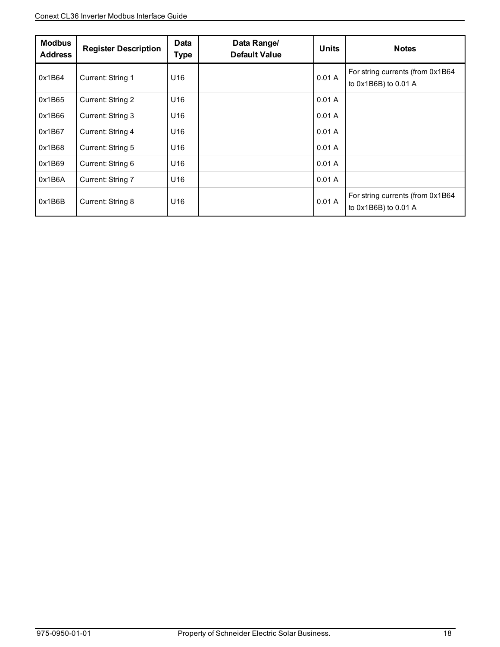| <b>Modbus</b><br><b>Address</b> | <b>Register Description</b> | <b>Data</b><br>Type | Data Range/<br><b>Default Value</b> | <b>Units</b> | <b>Notes</b>                                             |
|---------------------------------|-----------------------------|---------------------|-------------------------------------|--------------|----------------------------------------------------------|
| 0x1B64                          | Current: String 1           | U16                 |                                     | 0.01A        | For string currents (from 0x1B64<br>to 0x1B6B) to 0.01 A |
| 0x1B65                          | Current: String 2           | U16                 |                                     | 0.01A        |                                                          |
| 0x1B66                          | Current: String 3           | U16                 |                                     | 0.01A        |                                                          |
| 0x1B67                          | Current: String 4           | U16                 |                                     | 0.01A        |                                                          |
| 0x1B68                          | Current: String 5           | U16                 |                                     | 0.01A        |                                                          |
| 0x1B69                          | Current: String 6           | U16                 |                                     | 0.01A        |                                                          |
| 0x1B6A                          | Current: String 7           | U16                 |                                     | 0.01A        |                                                          |
| 0x1B6B                          | Current: String 8           | U16                 |                                     | 0.01A        | For string currents (from 0x1B64<br>to 0x1B6B) to 0.01 A |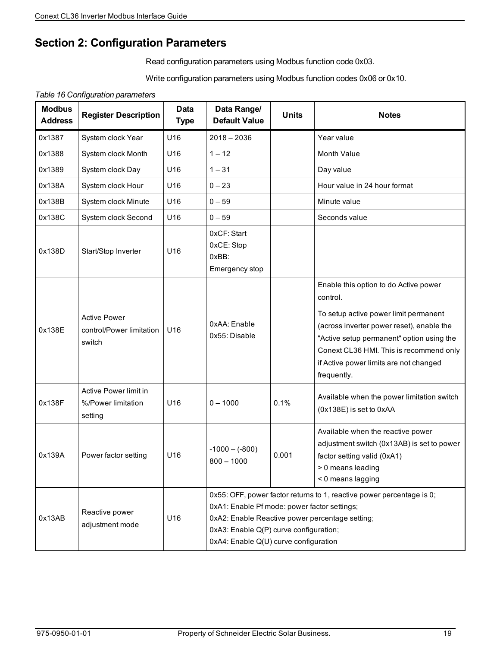### **Section 2: Configuration Parameters**

Read configuration parameters using Modbus function code 0x03.

Write configuration parameters using Modbus function codes 0x06 or 0x10.

*Table 16 Configuration parameters*

| <b>Modbus</b><br><b>Address</b> | <b>Register Description</b>                               | <b>Data</b><br><b>Type</b> | Data Range/<br><b>Default Value</b>                                                                                                                                                                                                                         | <b>Units</b> | <b>Notes</b>                                                                                                                                                                                                                                                                             |  |
|---------------------------------|-----------------------------------------------------------|----------------------------|-------------------------------------------------------------------------------------------------------------------------------------------------------------------------------------------------------------------------------------------------------------|--------------|------------------------------------------------------------------------------------------------------------------------------------------------------------------------------------------------------------------------------------------------------------------------------------------|--|
| 0x1387                          | System clock Year                                         | U16                        | $2018 - 2036$                                                                                                                                                                                                                                               |              | Year value                                                                                                                                                                                                                                                                               |  |
| 0x1388                          | System clock Month                                        | U16                        | $1 - 12$                                                                                                                                                                                                                                                    |              | Month Value                                                                                                                                                                                                                                                                              |  |
| 0x1389                          | System clock Day                                          | U16                        | $1 - 31$                                                                                                                                                                                                                                                    |              | Day value                                                                                                                                                                                                                                                                                |  |
| 0x138A                          | System clock Hour                                         | U16                        | $0 - 23$                                                                                                                                                                                                                                                    |              | Hour value in 24 hour format                                                                                                                                                                                                                                                             |  |
| 0x138B                          | System clock Minute                                       | U16                        | $0 - 59$                                                                                                                                                                                                                                                    |              | Minute value                                                                                                                                                                                                                                                                             |  |
| 0x138C                          | System clock Second                                       | U16                        | $0 - 59$                                                                                                                                                                                                                                                    |              | Seconds value                                                                                                                                                                                                                                                                            |  |
| 0x138D                          | Start/Stop Inverter                                       | U16                        | 0xCF: Start<br>0xCE: Stop<br>OxBB:<br>Emergency stop                                                                                                                                                                                                        |              |                                                                                                                                                                                                                                                                                          |  |
| 0x138E                          | <b>Active Power</b><br>control/Power limitation<br>switch | U16                        | 0xAA: Enable<br>0x55: Disable                                                                                                                                                                                                                               |              | Enable this option to do Active power<br>control.<br>To setup active power limit permanent<br>(across inverter power reset), enable the<br>"Active setup permanent" option using the<br>Conext CL36 HMI. This is recommend only<br>if Active power limits are not changed<br>frequently. |  |
| 0x138F                          | Active Power limit in<br>%/Power limitation<br>setting    | U16                        | $0 - 1000$                                                                                                                                                                                                                                                  | 0.1%         | Available when the power limitation switch<br>(0x138E) is set to 0xAA                                                                                                                                                                                                                    |  |
| 0x139A                          | Power factor setting                                      | U16                        | $-1000 - (-800)$<br>$800 - 1000$                                                                                                                                                                                                                            | 0.001        | Available when the reactive power<br>adjustment switch (0x13AB) is set to power<br>factor setting valid (0xA1)<br>> 0 means leading<br>< 0 means lagging                                                                                                                                 |  |
| 0x13AB                          | Reactive power<br>adjustment mode                         | U16                        | 0x55: OFF, power factor returns to 1, reactive power percentage is 0;<br>0xA1: Enable Pf mode: power factor settings;<br>0xA2: Enable Reactive power percentage setting;<br>0xA3: Enable Q(P) curve configuration;<br>0xA4: Enable Q(U) curve configuration |              |                                                                                                                                                                                                                                                                                          |  |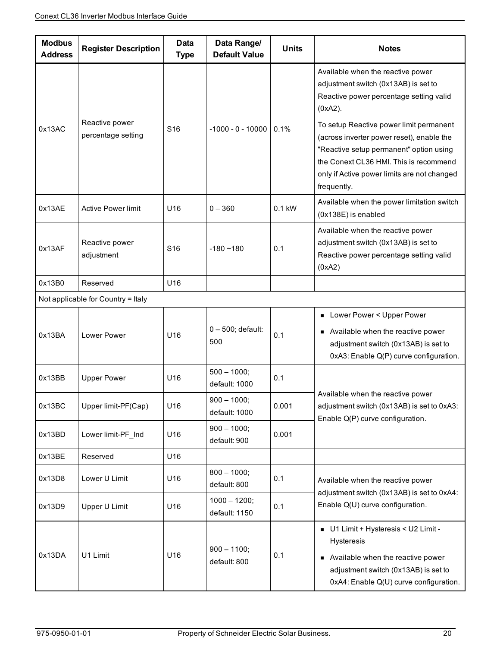| <b>Modbus</b><br><b>Address</b> | <b>Register Description</b>          | <b>Data</b><br><b>Type</b> | Data Range/<br><b>Default Value</b> | <b>Units</b> | <b>Notes</b>                                                                                                                                                                                                                                                                                                                                                                  |  |
|---------------------------------|--------------------------------------|----------------------------|-------------------------------------|--------------|-------------------------------------------------------------------------------------------------------------------------------------------------------------------------------------------------------------------------------------------------------------------------------------------------------------------------------------------------------------------------------|--|
| 0x13AC                          | Reactive power<br>percentage setting | S <sub>16</sub>            | $-1000 - 0 - 10000$                 | 0.1%         | Available when the reactive power<br>adjustment switch (0x13AB) is set to<br>Reactive power percentage setting valid<br>$(0xA2)$ .<br>To setup Reactive power limit permanent<br>(across inverter power reset), enable the<br>"Reactive setup permanent" option using<br>the Conext CL36 HMI. This is recommend<br>only if Active power limits are not changed<br>frequently. |  |
| 0x13AE                          | <b>Active Power limit</b>            | U16                        | $0 - 360$                           | $0.1$ kW     | Available when the power limitation switch<br>(0x138E) is enabled                                                                                                                                                                                                                                                                                                             |  |
| 0x13AF                          | Reactive power<br>adjustment         | S <sub>16</sub>            | $-180 - 180$                        | 0.1          | Available when the reactive power<br>adjustment switch (0x13AB) is set to<br>Reactive power percentage setting valid<br>(0xA2)                                                                                                                                                                                                                                                |  |
| 0x13B0                          | Reserved                             | U16                        |                                     |              |                                                                                                                                                                                                                                                                                                                                                                               |  |
|                                 | Not applicable for Country = Italy   |                            |                                     |              |                                                                                                                                                                                                                                                                                                                                                                               |  |
| 0x13BA                          | Lower Power                          | U16                        | 0-500; default:<br>500              | 0.1          | Lower Power < Upper Power<br>• Available when the reactive power<br>adjustment switch (0x13AB) is set to<br>0xA3: Enable Q(P) curve configuration.                                                                                                                                                                                                                            |  |
| 0x13BB                          | <b>Upper Power</b>                   | U <sub>16</sub>            | $500 - 1000;$<br>default: 1000      | 0.1          |                                                                                                                                                                                                                                                                                                                                                                               |  |
| 0x13BC                          | Upper limit-PF(Cap)                  | U16                        | $900 - 1000;$<br>default: 1000      | 0.001        | Available when the reactive power<br>adjustment switch (0x13AB) is set to 0xA3:<br>Enable Q(P) curve configuration.                                                                                                                                                                                                                                                           |  |
| 0x13BD                          | Lower limit-PF_Ind                   | U16                        | $900 - 1000;$<br>default: 900       | 0.001        |                                                                                                                                                                                                                                                                                                                                                                               |  |
| 0x13BE                          | Reserved                             | U16                        |                                     |              |                                                                                                                                                                                                                                                                                                                                                                               |  |
| 0x13D8                          | Lower U Limit                        | U16                        | $800 - 1000;$<br>default: 800       | 0.1          | Available when the reactive power<br>adjustment switch (0x13AB) is set to 0xA4:                                                                                                                                                                                                                                                                                               |  |
| 0x13D9                          | Upper U Limit                        | U16                        | $1000 - 1200$ ;<br>default: 1150    | 0.1          | Enable Q(U) curve configuration.                                                                                                                                                                                                                                                                                                                                              |  |
| 0x13DA                          | U1 Limit                             | U16                        | $900 - 1100;$<br>default: 800       | 0.1          | U1 Limit + Hysteresis < U2 Limit -<br>Hysteresis<br>Available when the reactive power<br>adjustment switch (0x13AB) is set to<br>0xA4: Enable Q(U) curve configuration.                                                                                                                                                                                                       |  |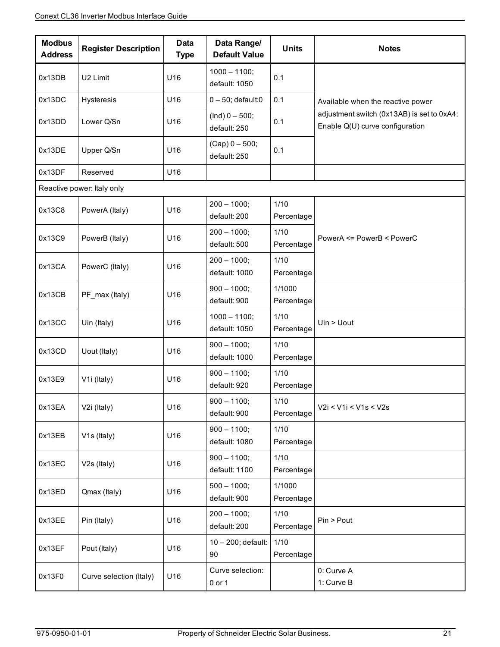| <b>Modbus</b><br><b>Address</b> | <b>Register Description</b> | <b>Data</b><br><b>Type</b> | Data Range/<br><b>Default Value</b> | <b>Units</b>         | <b>Notes</b>                                                                  |
|---------------------------------|-----------------------------|----------------------------|-------------------------------------|----------------------|-------------------------------------------------------------------------------|
| 0x13DB                          | U2 Limit                    | U16                        | $1000 - 1100;$<br>default: 1050     | 0.1                  |                                                                               |
| 0x13DC                          | Hysteresis                  | U16                        | $0 - 50$ ; default:0                | 0.1                  | Available when the reactive power                                             |
| 0x13DD                          | Lower Q/Sn                  | U16                        | $(Ind) 0 - 500;$<br>default: 250    | 0.1                  | adjustment switch (0x13AB) is set to 0xA4:<br>Enable Q(U) curve configuration |
| 0x13DE                          | Upper Q/Sn                  | U16                        | $(Cap) 0 - 500;$<br>default: 250    | 0.1                  |                                                                               |
| 0x13DF                          | Reserved                    | U16                        |                                     |                      |                                                                               |
|                                 | Reactive power: Italy only  |                            |                                     |                      |                                                                               |
| 0x13C8                          | PowerA (Italy)              | U16                        | $200 - 1000;$<br>default: 200       | 1/10<br>Percentage   |                                                                               |
| 0x13C9                          | PowerB (Italy)              | U16                        | $200 - 1000;$<br>default: 500       | 1/10<br>Percentage   | PowerA <= PowerB < PowerC                                                     |
| 0x13CA                          | PowerC (Italy)              | U16                        | $200 - 1000;$<br>default: 1000      | 1/10<br>Percentage   |                                                                               |
| 0x13CB                          | PF_max (Italy)              | U16                        | $900 - 1000;$<br>default: 900       | 1/1000<br>Percentage |                                                                               |
| 0x13CC                          | Uin (Italy)                 | U16                        | $1000 - 1100;$<br>default: 1050     | 1/10<br>Percentage   | Uin > Uout                                                                    |
| 0x13CD                          | Uout (Italy)                | U16                        | $900 - 1000;$<br>default: 1000      | 1/10<br>Percentage   |                                                                               |
| 0x13E9                          | V <sub>1</sub> (Italy)      | U16                        | $900 - 1100;$<br>default: 920       | 1/10<br>Percentage   |                                                                               |
| 0x13EA                          | V2i (Italy)                 | U16                        | $900 - 1100;$<br>default: 900       | $1/10$<br>Percentage | V2i < V1i < V1s < V2s                                                         |
| 0x13EB                          | V <sub>1s</sub> (Italy)     | U16                        | $900 - 1100;$<br>default: 1080      | 1/10<br>Percentage   |                                                                               |
| 0x13EC                          | V2s (Italy)                 | U16                        | $900 - 1100;$<br>default: 1100      | 1/10<br>Percentage   |                                                                               |
| 0x13ED                          | Qmax (Italy)                | U16                        | $500 - 1000;$<br>default: 900       | 1/1000<br>Percentage |                                                                               |
| 0x13EE                          | Pin (Italy)                 | U16                        | $200 - 1000;$<br>default: 200       | $1/10$<br>Percentage | Pin > Pout                                                                    |
| 0x13EF                          | Pout (Italy)                | U16                        | 10 - 200; default:<br>90            | 1/10<br>Percentage   |                                                                               |
| 0x13F0                          | Curve selection (Italy)     | U16                        | Curve selection:<br>$0$ or $1$      |                      | 0: Curve A<br>1: Curve B                                                      |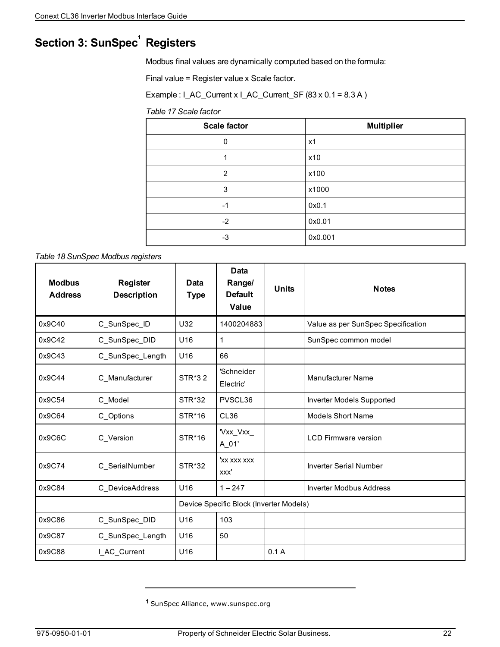# **Section 3: SunSpec<sup>1</sup> Registers**

Modbus final values are dynamically computed based on the formula:

Final value = Register value x Scale factor.

Example : I\_AC\_Current x I\_AC\_Current\_SF (83 x 0.1 = 8.3 A )

*Table 17 Scale factor*

| <b>Scale factor</b> | <b>Multiplier</b> |
|---------------------|-------------------|
| 0                   | x1                |
| 4                   | x10               |
| $\overline{2}$      | x100              |
| 3                   | x1000             |
| $-1$                | 0x0.1             |
| $-2$                | 0x0.01            |
| -3                  | 0x0.001           |

*Table 18 SunSpec Modbus registers*

| <b>Modbus</b><br><b>Address</b> | <b>Register</b><br><b>Description</b> | Data<br><b>Type</b>                     | Data<br>Range/<br><b>Default</b><br>Value | <b>Units</b> | <b>Notes</b>                       |
|---------------------------------|---------------------------------------|-----------------------------------------|-------------------------------------------|--------------|------------------------------------|
| 0x9C40                          | C_SunSpec_ID                          | U32                                     | 1400204883                                |              | Value as per SunSpec Specification |
| 0x9C42                          | C_SunSpec_DID                         | U16                                     | 1                                         |              | SunSpec common model               |
| 0x9C43                          | C_SunSpec_Length                      | U16                                     | 66                                        |              |                                    |
| 0x9C44                          | C Manufacturer                        | STR*32                                  | 'Schneider<br>Electric'                   |              | <b>Manufacturer Name</b>           |
| 0x9C54                          | C Model                               | STR*32                                  | PVSCL36                                   |              | Inverter Models Supported          |
| 0x9C64                          | C Options                             | STR*16                                  | CL36                                      |              | <b>Models Short Name</b>           |
| 0x9C6C                          | C Version                             | STR*16                                  | 'Vxx_Vxx_<br>A_01'                        |              | <b>LCD Firmware version</b>        |
| 0x9C74                          | C_SerialNumber                        | <b>STR*32</b>                           | 'xx xxx xxx<br>XXX'                       |              | <b>Inverter Serial Number</b>      |
| 0x9C84                          | C DeviceAddress                       | U16                                     | $1 - 247$                                 |              | <b>Inverter Modbus Address</b>     |
|                                 |                                       | Device Specific Block (Inverter Models) |                                           |              |                                    |
| 0x9C86                          | C_SunSpec_DID                         | U16                                     | 103                                       |              |                                    |
| 0x9C87                          | C_SunSpec_Length                      | U16                                     | 50                                        |              |                                    |
| 0x9C88                          | I_AC_Current                          | U16                                     |                                           | 0.1A         |                                    |

**<sup>1</sup>** SunSpec Alliance, www.sunspec.org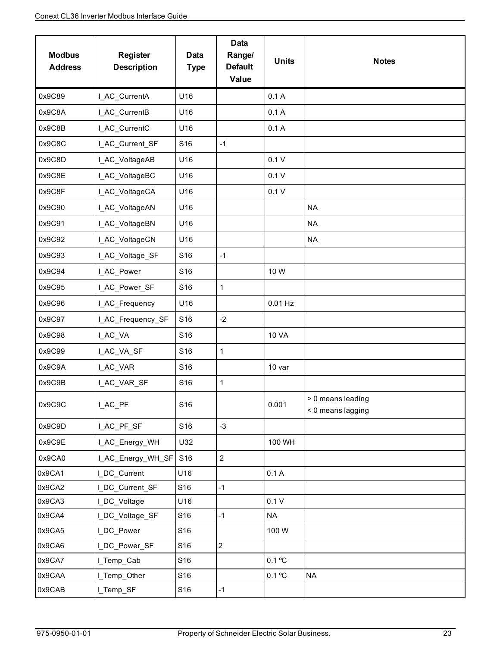| <b>Modbus</b><br><b>Address</b> | <b>Register</b><br><b>Description</b> | <b>Data</b><br><b>Type</b> | <b>Data</b><br>Range/<br><b>Default</b><br>Value | <b>Units</b> | <b>Notes</b>                           |
|---------------------------------|---------------------------------------|----------------------------|--------------------------------------------------|--------------|----------------------------------------|
| 0x9C89                          | I_AC_CurrentA                         | U16                        |                                                  | 0.1A         |                                        |
| 0x9C8A                          | I_AC_CurrentB                         | U16                        |                                                  | 0.1A         |                                        |
| 0x9C8B                          | I_AC_CurrentC                         | U16                        |                                                  | 0.1A         |                                        |
| 0x9C8C                          | I_AC_Current_SF                       | S16                        | $-1$                                             |              |                                        |
| 0x9C8D                          | I_AC_VoltageAB                        | U16                        |                                                  | 0.1V         |                                        |
| 0x9C8E                          | I_AC_VoltageBC                        | U16                        |                                                  | 0.1V         |                                        |
| 0x9C8F                          | I_AC_VoltageCA                        | U16                        |                                                  | 0.1V         |                                        |
| 0x9C90                          | I_AC_VoltageAN                        | U16                        |                                                  |              | <b>NA</b>                              |
| 0x9C91                          | I_AC_VoltageBN                        | U16                        |                                                  |              | <b>NA</b>                              |
| 0x9C92                          | I_AC_VoltageCN                        | U16                        |                                                  |              | <b>NA</b>                              |
| 0x9C93                          | I_AC_Voltage_SF                       | S16                        | $-1$                                             |              |                                        |
| 0x9C94                          | I_AC_Power                            | S16                        |                                                  | 10W          |                                        |
| 0x9C95                          | I_AC_Power_SF                         | S <sub>16</sub>            | $\mathbf{1}$                                     |              |                                        |
| 0x9C96                          | I_AC_Frequency                        | U16                        |                                                  | $0.01$ Hz    |                                        |
| 0x9C97                          | I_AC_Frequency_SF                     | S16                        | $-2$                                             |              |                                        |
| 0x9C98                          | I_AC_VA                               | S16                        |                                                  | <b>10 VA</b> |                                        |
| 0x9C99                          | I_AC_VA_SF                            | S16                        | $\mathbf{1}$                                     |              |                                        |
| 0x9C9A                          | I_AC_VAR                              | S16                        |                                                  | 10 var       |                                        |
| 0x9C9B                          | LAC_VAR_SF                            | S16                        | $\mathbf{1}$                                     |              |                                        |
| 0x9C9C                          | I_AC_PF                               | S16                        |                                                  | 0.001        | > 0 means leading<br>< 0 means lagging |
| 0x9C9D                          | LAC_PF_SF                             | S16                        | $-3$                                             |              |                                        |
| 0x9C9E                          | I_AC_Energy_WH                        | U32                        |                                                  | 100 WH       |                                        |
| 0x9CA0                          | I_AC_Energy_WH_SF                     | S16                        | $\overline{2}$                                   |              |                                        |
| 0x9CA1                          | I_DC_Current                          | U16                        |                                                  | 0.1A         |                                        |
| 0x9CA2                          | I_DC_Current_SF                       | S16                        | $-1$                                             |              |                                        |
| 0x9CA3                          | I DC Voltage                          | U16                        |                                                  | 0.1V         |                                        |
| 0x9CA4                          | I_DC_Voltage_SF                       | S16                        | $-1$                                             | <b>NA</b>    |                                        |
| 0x9CA5                          | I_DC_Power                            | S16                        |                                                  | 100W         |                                        |
| 0x9CA6                          | I_DC_Power_SF                         | S16                        | $\overline{2}$                                   |              |                                        |
| 0x9CA7                          | I_Temp_Cab                            | S16                        |                                                  | 0.1 °C       |                                        |
| 0x9CAA                          | I_Temp_Other                          | S16                        |                                                  | 0.1 °C       | <b>NA</b>                              |
| 0x9CAB                          | L_Temp_SF                             | S16                        | $-1$                                             |              |                                        |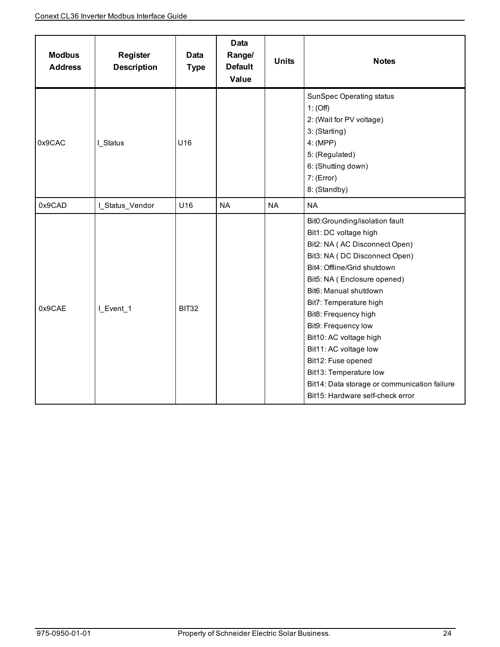| <b>Modbus</b><br><b>Address</b> | <b>Register</b><br><b>Description</b> | Data<br><b>Type</b> | <b>Data</b><br>Range/<br><b>Default</b><br>Value | <b>Units</b> | <b>Notes</b>                                                                                                                                                                                                                                                                                                                                                                                                                                                                     |
|---------------------------------|---------------------------------------|---------------------|--------------------------------------------------|--------------|----------------------------------------------------------------------------------------------------------------------------------------------------------------------------------------------------------------------------------------------------------------------------------------------------------------------------------------------------------------------------------------------------------------------------------------------------------------------------------|
| 0x9CAC                          | I Status                              | U16                 |                                                  |              | <b>SunSpec Operating status</b><br>1: (Off)<br>2: (Wait for PV voltage)<br>3: (Starting)<br>4: (MPP)<br>5: (Regulated)<br>6: (Shutting down)<br>7: (Error)<br>8: (Standby)                                                                                                                                                                                                                                                                                                       |
| 0x9CAD                          | I_Status_Vendor                       | U16                 | <b>NA</b>                                        | <b>NA</b>    | <b>NA</b>                                                                                                                                                                                                                                                                                                                                                                                                                                                                        |
| 0x9CAE                          | I_Event_1                             | BIT32               |                                                  |              | Bit0:Grounding/isolation fault<br>Bit1: DC voltage high<br>Bit2: NA (AC Disconnect Open)<br>Bit3: NA (DC Disconnect Open)<br>Bit4: Offline/Grid shutdown<br>Bit5: NA (Enclosure opened)<br>Bit6: Manual shutdown<br>Bit7: Temperature high<br>Bit8: Frequency high<br>Bit9: Frequency low<br>Bit10: AC voltage high<br>Bit11: AC voltage low<br>Bit12: Fuse opened<br>Bit13: Temperature low<br>Bit14: Data storage or communication failure<br>Bit15: Hardware self-check error |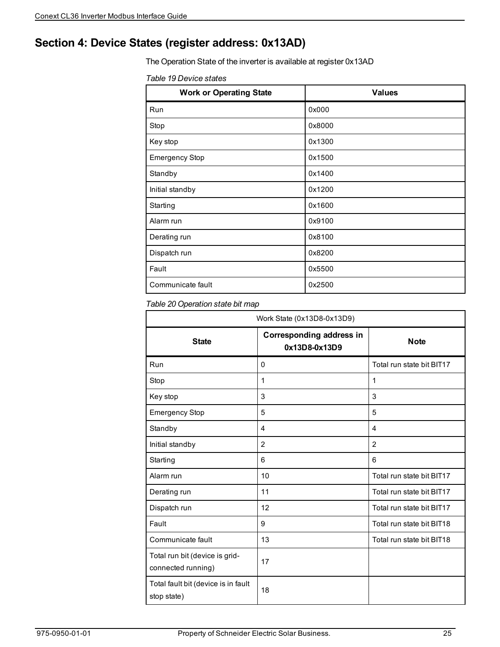### <span id="page-24-0"></span>**Section 4: Device States (register address: 0x13AD)**

The Operation State of the inverter is available at register 0x13AD

| Table 19 Device states |  |  |  |  |
|------------------------|--|--|--|--|
|------------------------|--|--|--|--|

| <b>Work or Operating State</b> | <b>Values</b> |
|--------------------------------|---------------|
| Run                            | 0x000         |
| Stop                           | 0x8000        |
| Key stop                       | 0x1300        |
| <b>Emergency Stop</b>          | 0x1500        |
| Standby                        | 0x1400        |
| Initial standby                | 0x1200        |
| Starting                       | 0x1600        |
| Alarm run                      | 0x9100        |
| Derating run                   | 0x8100        |
| Dispatch run                   | 0x8200        |
| Fault                          | 0x5500        |
| Communicate fault              | 0x2500        |

#### <span id="page-24-1"></span>*Table 20 Operation state bit map*

| Work State (0x13D8-0x13D9)                           |                                                  |                           |  |  |
|------------------------------------------------------|--------------------------------------------------|---------------------------|--|--|
| <b>State</b>                                         | <b>Corresponding address in</b><br>0x13D8-0x13D9 | <b>Note</b>               |  |  |
| Run                                                  | $\mathbf{0}$                                     | Total run state bit BIT17 |  |  |
| Stop                                                 | 1                                                | 1                         |  |  |
| Key stop                                             | 3                                                | 3                         |  |  |
| <b>Emergency Stop</b>                                | 5                                                | 5                         |  |  |
| Standby                                              | 4                                                | $\overline{4}$            |  |  |
| Initial standby                                      | $\overline{2}$                                   | 2                         |  |  |
| Starting                                             | 6                                                | 6                         |  |  |
| Alarm run                                            | 10                                               | Total run state bit BIT17 |  |  |
| Derating run                                         | 11                                               | Total run state bit BIT17 |  |  |
| Dispatch run                                         | 12                                               | Total run state bit BIT17 |  |  |
| Fault                                                | 9                                                | Total run state bit BIT18 |  |  |
| Communicate fault                                    | 13                                               | Total run state bit BIT18 |  |  |
| Total run bit (device is grid-<br>connected running) | 17                                               |                           |  |  |
| Total fault bit (device is in fault<br>stop state)   | 18                                               |                           |  |  |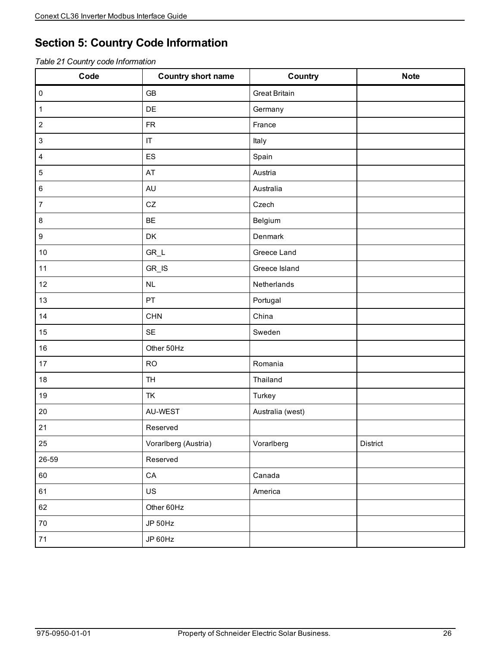### <span id="page-25-0"></span>**Section 5: Country Code Information**

|  | Table 21 Country code Information |  |
|--|-----------------------------------|--|
|--|-----------------------------------|--|

| Code                      | <b>Country short name</b>        | Country              | <b>Note</b> |
|---------------------------|----------------------------------|----------------------|-------------|
| $\pmb{0}$                 | <b>GB</b>                        | <b>Great Britain</b> |             |
| $\mathbf{1}$              | DE                               | Germany              |             |
| $\sqrt{2}$                | ${\sf FR}$                       | France               |             |
| $\ensuremath{\mathsf{3}}$ | $\sf IT$                         | Italy                |             |
| $\overline{\mathbf{4}}$   | ES                               | Spain                |             |
| $\,$ 5 $\,$               | AT                               | Austria              |             |
| $\,6\,$                   | <b>AU</b>                        | Australia            |             |
| $\boldsymbol{7}$          | CZ                               | Czech                |             |
| $\bf 8$                   | BE                               | Belgium              |             |
| $\boldsymbol{9}$          | DK                               | Denmark              |             |
| $10$                      | $GR_L$                           | Greece Land          |             |
| 11                        | $GR$ <sub>_<math>IS</math></sub> | Greece Island        |             |
| 12                        | NL                               | Netherlands          |             |
| 13                        | PT                               | Portugal             |             |
| 14                        | <b>CHN</b>                       | China                |             |
| 15                        | <b>SE</b>                        | Sweden               |             |
| 16                        | Other 50Hz                       |                      |             |
| 17                        | <b>RO</b>                        | Romania              |             |
| $18$                      | <b>TH</b>                        | Thailand             |             |
| 19                        | TK                               | Turkey               |             |
| $20\,$                    | AU-WEST                          | Australia (west)     |             |
| 21                        | Reserved                         |                      |             |
| 25                        | Vorarlberg (Austria)             | Vorarlberg           | District    |
| 26-59                     | Reserved                         |                      |             |
| 60                        | ${\sf CA}$                       | Canada               |             |
| 61                        | <b>US</b>                        | America              |             |
| 62                        | Other 60Hz                       |                      |             |
| $70\,$                    | JP 50Hz                          |                      |             |
| $71$                      | JP 60Hz                          |                      |             |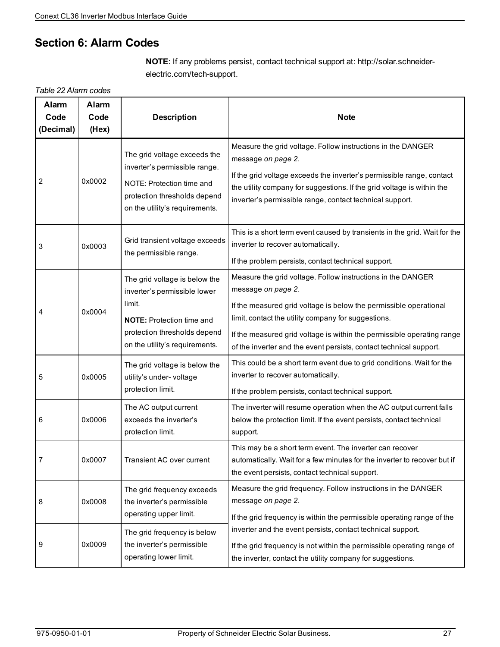### <span id="page-26-0"></span>**Section 6: Alarm Codes**

**NOTE:** If any problems persist, contact technical support at: http://solar.schneiderelectric.com/tech-support.

*Table 22 Alarm codes*

| <b>Alarm</b><br>Code<br>(Decimal) | <b>Alarm</b><br>Code<br>(Hex) | <b>Description</b>                                                                                                                                                            | <b>Note</b>                                                                                                                                                                                                                                                                                                                                                   |
|-----------------------------------|-------------------------------|-------------------------------------------------------------------------------------------------------------------------------------------------------------------------------|---------------------------------------------------------------------------------------------------------------------------------------------------------------------------------------------------------------------------------------------------------------------------------------------------------------------------------------------------------------|
| 2                                 | 0x0002                        | The grid voltage exceeds the<br>inverter's permissible range.<br>NOTE: Protection time and<br>protection thresholds depend<br>on the utility's requirements.                  | Measure the grid voltage. Follow instructions in the DANGER<br>message on page 2.<br>If the grid voltage exceeds the inverter's permissible range, contact<br>the utility company for suggestions. If the grid voltage is within the<br>inverter's permissible range, contact technical support.                                                              |
| 3                                 | 0x0003                        | Grid transient voltage exceeds<br>the permissible range.                                                                                                                      | This is a short term event caused by transients in the grid. Wait for the<br>inverter to recover automatically.<br>If the problem persists, contact technical support.                                                                                                                                                                                        |
| 4                                 | 0x0004                        | The grid voltage is below the<br>inverter's permissible lower<br>limit.<br><b>NOTE:</b> Protection time and<br>protection thresholds depend<br>on the utility's requirements. | Measure the grid voltage. Follow instructions in the DANGER<br>message on page 2.<br>If the measured grid voltage is below the permissible operational<br>limit, contact the utility company for suggestions.<br>If the measured grid voltage is within the permissible operating range<br>of the inverter and the event persists, contact technical support. |
| 5                                 | 0x0005                        | The grid voltage is below the<br>utility's under-voltage<br>protection limit.                                                                                                 | This could be a short term event due to grid conditions. Wait for the<br>inverter to recover automatically.<br>If the problem persists, contact technical support.                                                                                                                                                                                            |
| 6                                 | 0x0006                        | The AC output current<br>exceeds the inverter's<br>protection limit.                                                                                                          | The inverter will resume operation when the AC output current falls<br>below the protection limit. If the event persists, contact technical<br>support.                                                                                                                                                                                                       |
| 7                                 | 0x0007                        | Transient AC over current                                                                                                                                                     | This may be a short term event. The inverter can recover<br>automatically. Wait for a few minutes for the inverter to recover but if<br>the event persists, contact technical support.                                                                                                                                                                        |
| 8                                 | 0x0008                        | The grid frequency exceeds<br>the inverter's permissible<br>operating upper limit.                                                                                            | Measure the grid frequency. Follow instructions in the DANGER<br>message on page 2.<br>If the grid frequency is within the permissible operating range of the                                                                                                                                                                                                 |
| 9                                 | 0x0009                        | The grid frequency is below<br>the inverter's permissible<br>operating lower limit.                                                                                           | inverter and the event persists, contact technical support.<br>If the grid frequency is not within the permissible operating range of<br>the inverter, contact the utility company for suggestions.                                                                                                                                                           |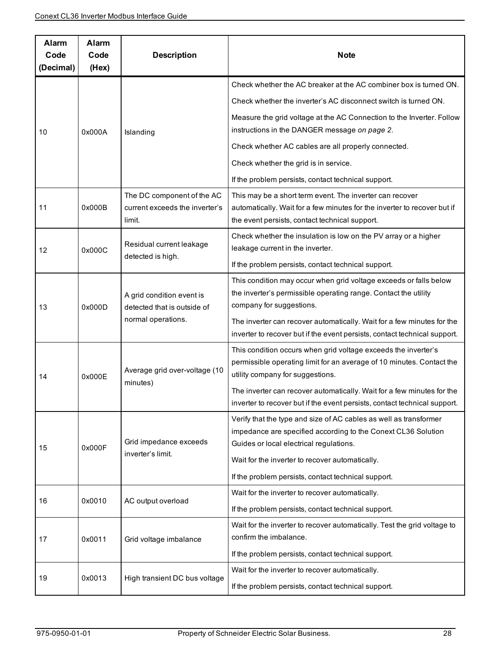| Alarm<br>Code<br>(Decimal) | Alarm<br>Code<br>(Hex)                                   | <b>Description</b>                                                                                                                                                          | <b>Note</b>                                                                                                                                                                            |
|----------------------------|----------------------------------------------------------|-----------------------------------------------------------------------------------------------------------------------------------------------------------------------------|----------------------------------------------------------------------------------------------------------------------------------------------------------------------------------------|
|                            |                                                          |                                                                                                                                                                             | Check whether the AC breaker at the AC combiner box is turned ON.                                                                                                                      |
|                            |                                                          |                                                                                                                                                                             | Check whether the inverter's AC disconnect switch is turned ON.                                                                                                                        |
| 10                         | 0x000A                                                   | Islanding                                                                                                                                                                   | Measure the grid voltage at the AC Connection to the Inverter. Follow<br>instructions in the DANGER message on page 2.                                                                 |
|                            |                                                          |                                                                                                                                                                             | Check whether AC cables are all properly connected.                                                                                                                                    |
|                            |                                                          |                                                                                                                                                                             | Check whether the grid is in service.                                                                                                                                                  |
|                            |                                                          |                                                                                                                                                                             | If the problem persists, contact technical support.                                                                                                                                    |
| 11                         | 0x000B                                                   | The DC component of the AC<br>current exceeds the inverter's<br>limit.                                                                                                      | This may be a short term event. The inverter can recover<br>automatically. Wait for a few minutes for the inverter to recover but if<br>the event persists, contact technical support. |
| 12                         | Residual current leakage<br>0x000C                       |                                                                                                                                                                             | Check whether the insulation is low on the PV array or a higher<br>leakage current in the inverter.                                                                                    |
|                            |                                                          | detected is high.                                                                                                                                                           | If the problem persists, contact technical support.                                                                                                                                    |
| 0x000D<br>13               | A grid condition event is<br>detected that is outside of | This condition may occur when grid voltage exceeds or falls below<br>the inverter's permissible operating range. Contact the utility<br>company for suggestions.            |                                                                                                                                                                                        |
|                            |                                                          | normal operations.                                                                                                                                                          | The inverter can recover automatically. Wait for a few minutes for the<br>inverter to recover but if the event persists, contact technical support.                                    |
| 14                         | Average grid over-voltage (10<br>0x000E                  | This condition occurs when grid voltage exceeds the inverter's<br>permissible operating limit for an average of 10 minutes. Contact the<br>utility company for suggestions. |                                                                                                                                                                                        |
|                            |                                                          | minutes)                                                                                                                                                                    | The inverter can recover automatically. Wait for a few minutes for the<br>inverter to recover but if the event persists, contact technical support.                                    |
| 15                         | 0x000F                                                   | Grid impedance exceeds                                                                                                                                                      | Verify that the type and size of AC cables as well as transformer<br>impedance are specified according to the Conext CL36 Solution<br>Guides or local electrical regulations.          |
|                            |                                                          | inverter's limit.                                                                                                                                                           | Wait for the inverter to recover automatically.                                                                                                                                        |
|                            |                                                          |                                                                                                                                                                             | If the problem persists, contact technical support.                                                                                                                                    |
| 16                         | 0x0010                                                   | AC output overload                                                                                                                                                          | Wait for the inverter to recover automatically.                                                                                                                                        |
|                            |                                                          |                                                                                                                                                                             | If the problem persists, contact technical support.                                                                                                                                    |
| 17                         | 0x0011                                                   | Grid voltage imbalance                                                                                                                                                      | Wait for the inverter to recover automatically. Test the grid voltage to<br>confirm the imbalance.                                                                                     |
|                            |                                                          |                                                                                                                                                                             | If the problem persists, contact technical support.                                                                                                                                    |
| 19                         | 0x0013                                                   | High transient DC bus voltage                                                                                                                                               | Wait for the inverter to recover automatically.                                                                                                                                        |
|                            |                                                          | If the problem persists, contact technical support.                                                                                                                         |                                                                                                                                                                                        |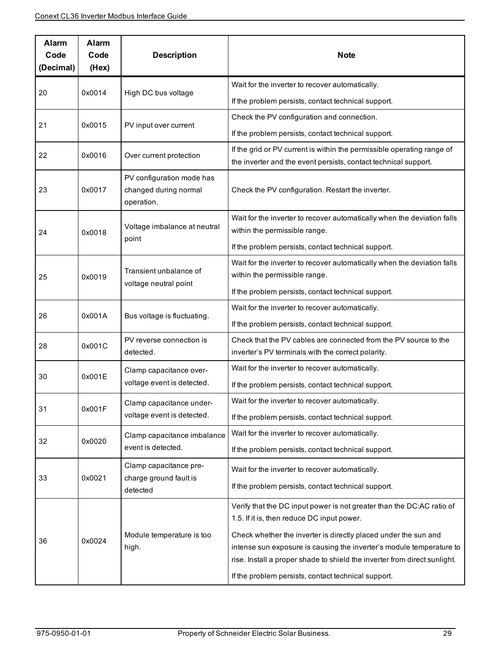| Alarm<br>Code<br>(Decimal) | Alarm<br>Code<br>(Hex)           | <b>Description</b>                                               | <b>Note</b>                                                                                                                                                                                                          |
|----------------------------|----------------------------------|------------------------------------------------------------------|----------------------------------------------------------------------------------------------------------------------------------------------------------------------------------------------------------------------|
|                            | 0x0014                           |                                                                  | Wait for the inverter to recover automatically.                                                                                                                                                                      |
| 20                         |                                  | High DC bus voltage                                              | If the problem persists, contact technical support.                                                                                                                                                                  |
| 21                         | 0x0015                           | PV input over current                                            | Check the PV configuration and connection.                                                                                                                                                                           |
|                            |                                  |                                                                  | If the problem persists, contact technical support.                                                                                                                                                                  |
| 22                         | 0x0016                           | Over current protection                                          | If the grid or PV current is within the permissible operating range of<br>the inverter and the event persists, contact technical support.                                                                            |
| 23                         | 0x0017                           | PV configuration mode has<br>changed during normal<br>operation. | Check the PV configuration. Restart the inverter.                                                                                                                                                                    |
| 24                         | 0x0018                           | Voltage imbalance at neutral                                     | Wait for the inverter to recover automatically when the deviation falls<br>within the permissible range.                                                                                                             |
|                            |                                  | point                                                            | If the problem persists, contact technical support.                                                                                                                                                                  |
| 25                         | Transient unbalance of<br>0x0019 |                                                                  | Wait for the inverter to recover automatically when the deviation falls<br>within the permissible range.                                                                                                             |
|                            |                                  | voltage neutral point                                            | If the problem persists, contact technical support.                                                                                                                                                                  |
|                            |                                  |                                                                  | Wait for the inverter to recover automatically.                                                                                                                                                                      |
| 26                         | 0x001A                           | Bus voltage is fluctuating.                                      | If the problem persists, contact technical support.                                                                                                                                                                  |
| 28                         | 0x001C                           | PV reverse connection is<br>detected.                            | Check that the PV cables are connected from the PV source to the<br>inverter's PV terminals with the correct polarity.                                                                                               |
|                            |                                  | Clamp capacitance over-                                          | Wait for the inverter to recover automatically.                                                                                                                                                                      |
| 30                         | 0x001E                           | voltage event is detected.                                       | If the problem persists, contact technical support.                                                                                                                                                                  |
|                            | 0x001F                           | Clamp capacitance under-                                         | Wait for the inverter to recover automatically.                                                                                                                                                                      |
| 31                         |                                  | voltage event is detected.                                       | If the problem persists, contact technical support.                                                                                                                                                                  |
| 32                         | 0x0020                           | Clamp capacitance imbalance                                      | Wait for the inverter to recover automatically.                                                                                                                                                                      |
|                            |                                  | event is detected.                                               | If the problem persists, contact technical support.                                                                                                                                                                  |
|                            |                                  | Clamp capacitance pre-                                           | Wait for the inverter to recover automatically.                                                                                                                                                                      |
| 33                         | 0x0021                           | charge ground fault is<br>detected                               | If the problem persists, contact technical support.                                                                                                                                                                  |
|                            |                                  |                                                                  | Verify that the DC input power is not greater than the DC:AC ratio of<br>1.5. If it is, then reduce DC input power.                                                                                                  |
| 36                         | 0x0024                           | Module temperature is too<br>high.                               | Check whether the inverter is directly placed under the sun and<br>intense sun exposure is causing the inverter's module temperature to<br>rise. Install a proper shade to shield the inverter from direct sunlight. |
|                            |                                  |                                                                  | If the problem persists, contact technical support.                                                                                                                                                                  |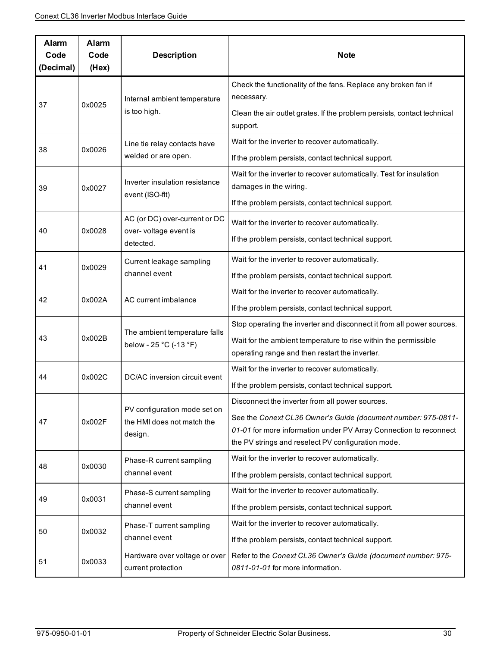| Alarm<br>Code<br>(Decimal) | Alarm<br>Code<br>(Hex) | <b>Description</b>                                                    | <b>Note</b>                                                                                                                                                                                                                                 |
|----------------------------|------------------------|-----------------------------------------------------------------------|---------------------------------------------------------------------------------------------------------------------------------------------------------------------------------------------------------------------------------------------|
| 37                         | 0x0025                 | Internal ambient temperature<br>is too high.                          | Check the functionality of the fans. Replace any broken fan if<br>necessary.                                                                                                                                                                |
|                            |                        |                                                                       | Clean the air outlet grates. If the problem persists, contact technical<br>support.                                                                                                                                                         |
| 38                         | 0x0026                 | Line tie relay contacts have<br>welded or are open.                   | Wait for the inverter to recover automatically.<br>If the problem persists, contact technical support.                                                                                                                                      |
| 39                         | 0x0027                 | Inverter insulation resistance<br>event (ISO-fit)                     | Wait for the inverter to recover automatically. Test for insulation<br>damages in the wiring.<br>If the problem persists, contact technical support.                                                                                        |
| 40                         | 0x0028                 | AC (or DC) over-current or DC<br>over- voltage event is<br>detected.  | Wait for the inverter to recover automatically.<br>If the problem persists, contact technical support.                                                                                                                                      |
| 41                         | 0x0029                 | Current leakage sampling<br>channel event                             | Wait for the inverter to recover automatically.<br>If the problem persists, contact technical support.                                                                                                                                      |
| 42                         | 0x002A                 | AC current imbalance                                                  | Wait for the inverter to recover automatically.<br>If the problem persists, contact technical support.                                                                                                                                      |
| 43                         | 0x002B                 | The ambient temperature falls<br>below - 25 °C (-13 °F)               | Stop operating the inverter and disconnect it from all power sources.<br>Wait for the ambient temperature to rise within the permissible<br>operating range and then restart the inverter.                                                  |
| 44                         | 0x002C                 | DC/AC inversion circuit event                                         | Wait for the inverter to recover automatically.<br>If the problem persists, contact technical support.                                                                                                                                      |
| 47                         | 0x002F                 | PV configuration mode set on<br>the HMI does not match the<br>design. | Disconnect the inverter from all power sources.<br>See the Conext CL36 Owner's Guide (document number: 975-0811-<br>01-01 for more information under PV Array Connection to reconnect<br>the PV strings and reselect PV configuration mode. |
| 48                         | 0x0030                 | Phase-R current sampling<br>channel event                             | Wait for the inverter to recover automatically.<br>If the problem persists, contact technical support.                                                                                                                                      |
| 49                         | 0x0031                 | Phase-S current sampling<br>channel event                             | Wait for the inverter to recover automatically.<br>If the problem persists, contact technical support.                                                                                                                                      |
| 50                         | 0x0032                 | Phase-T current sampling<br>channel event                             | Wait for the inverter to recover automatically.<br>If the problem persists, contact technical support.                                                                                                                                      |
| 51                         | 0x0033                 | Hardware over voltage or over<br>current protection                   | Refer to the Conext CL36 Owner's Guide (document number: 975-<br>0811-01-01 for more information.                                                                                                                                           |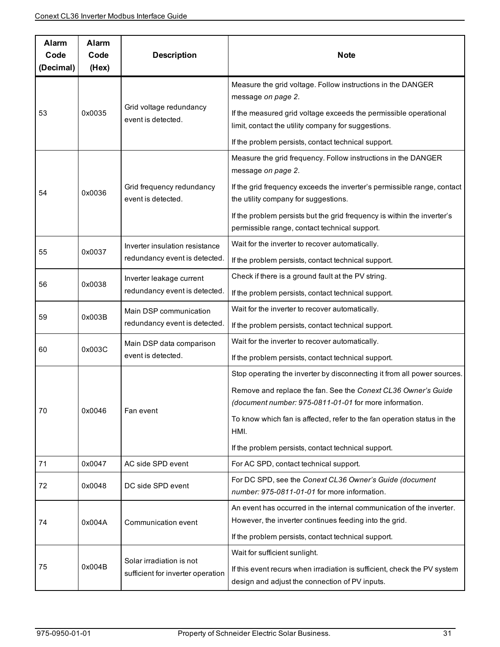| Alarm<br>Code<br>(Decimal) | Alarm<br>Code<br>(Hex) | <b>Description</b>                                              | <b>Note</b>                                                                                                                                                 |
|----------------------------|------------------------|-----------------------------------------------------------------|-------------------------------------------------------------------------------------------------------------------------------------------------------------|
| 53                         | 0x0035                 | Grid voltage redundancy<br>event is detected.                   | Measure the grid voltage. Follow instructions in the DANGER<br>message on page 2.                                                                           |
|                            |                        |                                                                 | If the measured grid voltage exceeds the permissible operational<br>limit, contact the utility company for suggestions.                                     |
|                            |                        |                                                                 | If the problem persists, contact technical support.                                                                                                         |
| 54                         | 0x0036                 | Grid frequency redundancy<br>event is detected.                 | Measure the grid frequency. Follow instructions in the DANGER<br>message on page 2.                                                                         |
|                            |                        |                                                                 | If the grid frequency exceeds the inverter's permissible range, contact<br>the utility company for suggestions.                                             |
|                            |                        |                                                                 | If the problem persists but the grid frequency is within the inverter's<br>permissible range, contact technical support.                                    |
|                            |                        | Inverter insulation resistance<br>redundancy event is detected. | Wait for the inverter to recover automatically.                                                                                                             |
| 55                         | 0x0037                 |                                                                 | If the problem persists, contact technical support.                                                                                                         |
|                            |                        | Inverter leakage current<br>redundancy event is detected.       | Check if there is a ground fault at the PV string.                                                                                                          |
| 56                         | 0x0038                 |                                                                 | If the problem persists, contact technical support.                                                                                                         |
|                            | 0x003B                 | Main DSP communication<br>redundancy event is detected.         | Wait for the inverter to recover automatically.                                                                                                             |
| 59                         |                        |                                                                 | If the problem persists, contact technical support.                                                                                                         |
| 60                         | 0x003C                 | Main DSP data comparison<br>event is detected.                  | Wait for the inverter to recover automatically.                                                                                                             |
|                            |                        |                                                                 | If the problem persists, contact technical support.                                                                                                         |
|                            | 0x0046                 | Fan event                                                       | Stop operating the inverter by disconnecting it from all power sources.                                                                                     |
| 70                         |                        |                                                                 | Remove and replace the fan. See the Conext CL36 Owner's Guide                                                                                               |
|                            |                        |                                                                 | (document number: 975-0811-01-01 for more information.                                                                                                      |
|                            |                        |                                                                 | To know which fan is affected, refer to the fan operation status in the<br>HMI.                                                                             |
|                            |                        |                                                                 | If the problem persists, contact technical support.                                                                                                         |
| 71                         | 0x0047                 | AC side SPD event                                               | For AC SPD, contact technical support.                                                                                                                      |
| 72                         | 0x0048                 | DC side SPD event                                               | For DC SPD, see the Conext CL36 Owner's Guide (document<br>number: 975-0811-01-01 for more information.                                                     |
| 74                         | 0x004A                 | Communication event                                             | An event has occurred in the internal communication of the inverter.                                                                                        |
|                            |                        |                                                                 | However, the inverter continues feeding into the grid.                                                                                                      |
|                            |                        |                                                                 | If the problem persists, contact technical support.                                                                                                         |
| 75                         | 0x004B                 | Solar irradiation is not<br>sufficient for inverter operation   | Wait for sufficient sunlight.<br>If this event recurs when irradiation is sufficient, check the PV system<br>design and adjust the connection of PV inputs. |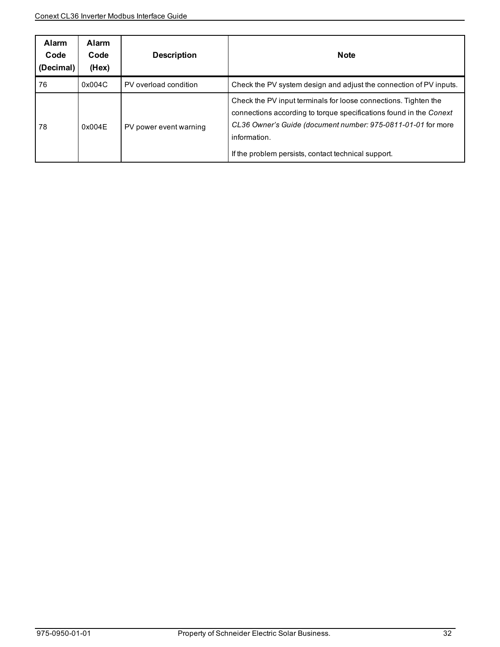| <b>Alarm</b><br>Code<br>(Decimal) | <b>Alarm</b><br>Code<br>(Hex) | <b>Description</b>     | <b>Note</b>                                                                                                                                                                                                                                                                  |
|-----------------------------------|-------------------------------|------------------------|------------------------------------------------------------------------------------------------------------------------------------------------------------------------------------------------------------------------------------------------------------------------------|
| 76                                | 0x004C                        | PV overload condition  | Check the PV system design and adjust the connection of PV inputs.                                                                                                                                                                                                           |
| 78                                | 0x004E                        | PV power event warning | Check the PV input terminals for loose connections. Tighten the<br>connections according to torque specifications found in the Conext<br>CL36 Owner's Guide (document number: 975-0811-01-01 for more<br>information.<br>If the problem persists, contact technical support. |